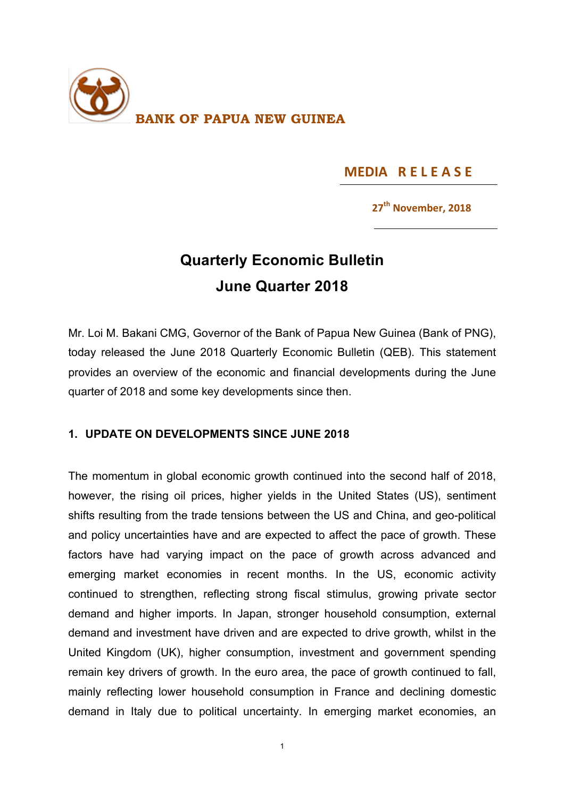

## **MEDIA RELEASE**

### **27<sup>th</sup> November, 2018**

# **Quarterly Economic Bulletin June Quarter 2018**

Mr. Loi M. Bakani CMG, Governor of the Bank of Papua New Guinea (Bank of PNG), today released the June 2018 Quarterly Economic Bulletin (QEB). This statement provides an overview of the economic and financial developments during the June quarter of 2018 and some key developments since then.

### **1. UPDATE ON DEVELOPMENTS SINCE JUNE 2018**

The momentum in global economic growth continued into the second half of 2018, however, the rising oil prices, higher yields in the United States (US), sentiment shifts resulting from the trade tensions between the US and China, and geo-political and policy uncertainties have and are expected to affect the pace of growth. These factors have had varying impact on the pace of growth across advanced and emerging market economies in recent months. In the US, economic activity continued to strengthen, reflecting strong fiscal stimulus, growing private sector demand and higher imports. In Japan, stronger household consumption, external demand and investment have driven and are expected to drive growth, whilst in the United Kingdom (UK), higher consumption, investment and government spending remain key drivers of growth. In the euro area, the pace of growth continued to fall, mainly reflecting lower household consumption in France and declining domestic demand in Italy due to political uncertainty. In emerging market economies, an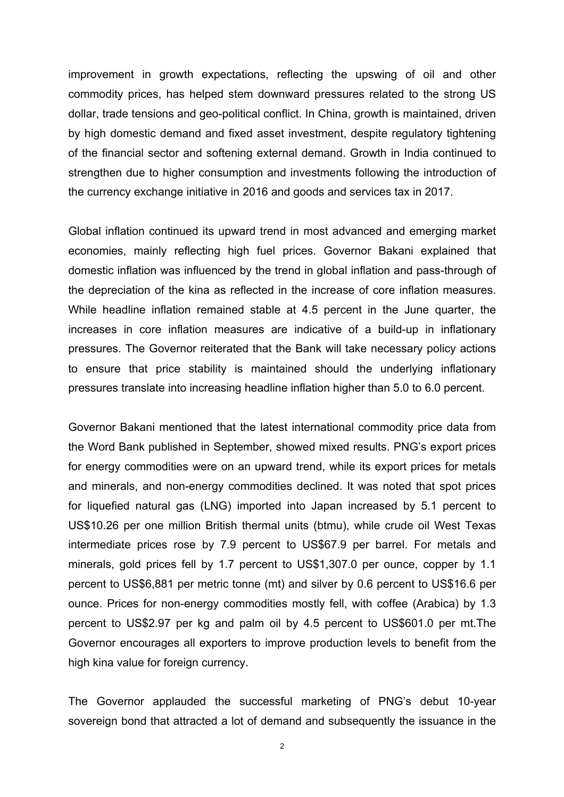improvement in growth expectations, reflecting the upswing of oil and other commodity prices, has helped stem downward pressures related to the strong US dollar, trade tensions and geo-political conflict. In China, growth is maintained, driven by high domestic demand and fixed asset investment, despite regulatory tightening of the financial sector and softening external demand. Growth in India continued to strengthen due to higher consumption and investments following the introduction of the currency exchange initiative in 2016 and goods and services tax in 2017.

Global inflation continued its upward trend in most advanced and emerging market economies, mainly reflecting high fuel prices. Governor Bakani explained that domestic inflation was influenced by the trend in global inflation and pass-through of the depreciation of the kina as reflected in the increase of core inflation measures. While headline inflation remained stable at 4.5 percent in the June quarter, the increases in core inflation measures are indicative of a build-up in inflationary pressures. The Governor reiterated that the Bank will take necessary policy actions to ensure that price stability is maintained should the underlying inflationary pressures translate into increasing headline inflation higher than 5.0 to 6.0 percent.

Governor Bakani mentioned that the latest international commodity price data from the Word Bank published in September, showed mixed results. PNG's export prices for energy commodities were on an upward trend, while its export prices for metals and minerals, and non-energy commodities declined. It was noted that spot prices for liquefied natural gas (LNG) imported into Japan increased by 5.1 percent to US\$10.26 per one million British thermal units (btmu), while crude oil West Texas intermediate prices rose by 7.9 percent to US\$67.9 per barrel. For metals and minerals, gold prices fell by 1.7 percent to US\$1,307.0 per ounce, copper by 1.1 percent to US\$6,881 per metric tonne (mt) and silver by 0.6 percent to US\$16.6 per ounce. Prices for non-energy commodities mostly fell, with coffee (Arabica) by 1.3 percent to US\$2.97 per kg and palm oil by 4.5 percent to US\$601.0 per mt.The Governor encourages all exporters to improve production levels to benefit from the high kina value for foreign currency.

The Governor applauded the successful marketing of PNG's debut 10-year sovereign bond that attracted a lot of demand and subsequently the issuance in the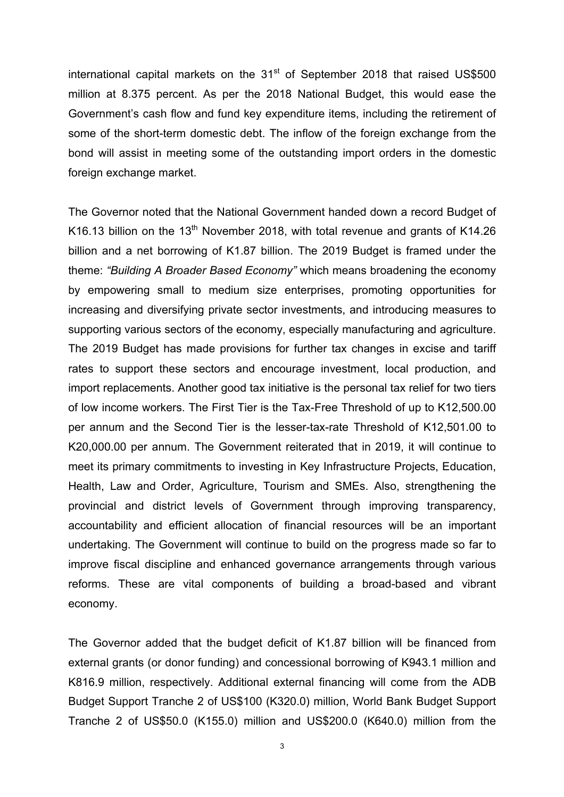international capital markets on the  $31<sup>st</sup>$  of September 2018 that raised US\$500 million at 8.375 percent. As per the 2018 National Budget, this would ease the Government's cash flow and fund key expenditure items, including the retirement of some of the short-term domestic debt. The inflow of the foreign exchange from the bond will assist in meeting some of the outstanding import orders in the domestic foreign exchange market.

The Governor noted that the National Government handed down a record Budget of K16.13 billion on the 13<sup>th</sup> November 2018, with total revenue and grants of K14.26 billion and a net borrowing of K1.87 billion. The 2019 Budget is framed under the theme: *"Building A Broader Based Economy"* which means broadening the economy by empowering small to medium size enterprises, promoting opportunities for increasing and diversifying private sector investments, and introducing measures to supporting various sectors of the economy, especially manufacturing and agriculture. The 2019 Budget has made provisions for further tax changes in excise and tariff rates to support these sectors and encourage investment, local production, and import replacements. Another good tax initiative is the personal tax relief for two tiers of low income workers. The First Tier is the Tax-Free Threshold of up to K12,500.00 per annum and the Second Tier is the lesser-tax-rate Threshold of K12,501.00 to K20,000.00 per annum. The Government reiterated that in 2019, it will continue to meet its primary commitments to investing in Key Infrastructure Projects, Education, Health, Law and Order, Agriculture, Tourism and SMEs. Also, strengthening the provincial and district levels of Government through improving transparency, accountability and efficient allocation of financial resources will be an important undertaking. The Government will continue to build on the progress made so far to improve fiscal discipline and enhanced governance arrangements through various reforms. These are vital components of building a broad-based and vibrant economy.

The Governor added that the budget deficit of K1.87 billion will be financed from external grants (or donor funding) and concessional borrowing of K943.1 million and K816.9 million, respectively. Additional external financing will come from the ADB Budget Support Tranche 2 of US\$100 (K320.0) million, World Bank Budget Support Tranche 2 of US\$50.0 (K155.0) million and US\$200.0 (K640.0) million from the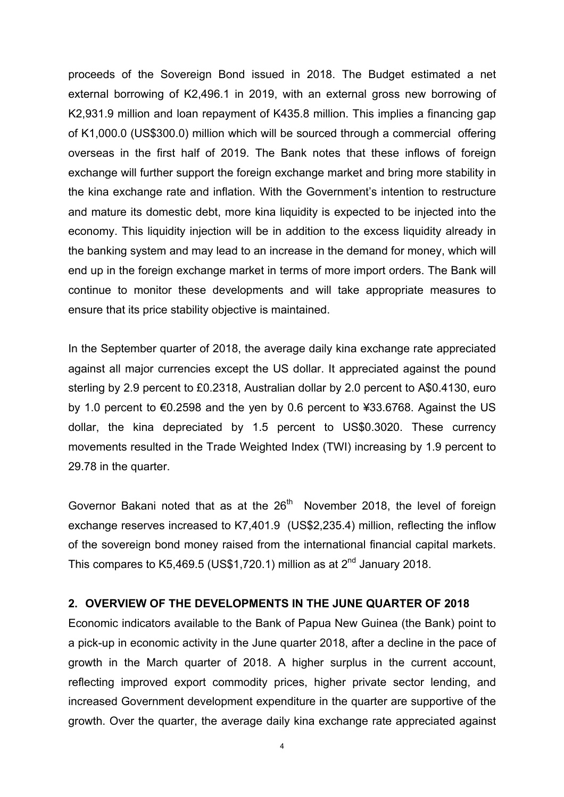proceeds of the Sovereign Bond issued in 2018. The Budget estimated a net external borrowing of K2,496.1 in 2019, with an external gross new borrowing of K2,931.9 million and loan repayment of K435.8 million. This implies a financing gap of K1,000.0 (US\$300.0) million which will be sourced through a commercial offering overseas in the first half of 2019. The Bank notes that these inflows of foreign exchange will further support the foreign exchange market and bring more stability in the kina exchange rate and inflation. With the Government's intention to restructure and mature its domestic debt, more kina liquidity is expected to be injected into the economy. This liquidity injection will be in addition to the excess liquidity already in the banking system and may lead to an increase in the demand for money, which will end up in the foreign exchange market in terms of more import orders. The Bank will continue to monitor these developments and will take appropriate measures to ensure that its price stability objective is maintained.

In the September quarter of 2018, the average daily kina exchange rate appreciated against all major currencies except the US dollar. It appreciated against the pound sterling by 2.9 percent to £0.2318, Australian dollar by 2.0 percent to A\$0.4130, euro by 1.0 percent to €0.2598 and the yen by 0.6 percent to ¥33.6768. Against the US dollar, the kina depreciated by 1.5 percent to US\$0.3020. These currency movements resulted in the Trade Weighted Index (TWI) increasing by 1.9 percent to 29.78 in the quarter.

Governor Bakani noted that as at the  $26<sup>th</sup>$  November 2018, the level of foreign exchange reserves increased to K7,401.9 (US\$2,235.4) million, reflecting the inflow of the sovereign bond money raised from the international financial capital markets. This compares to K5,469.5 (US\$1,720.1) million as at  $2^{nd}$  January 2018.

#### **2. OVERVIEW OF THE DEVELOPMENTS IN THE JUNE QUARTER OF 2018**

Economic indicators available to the Bank of Papua New Guinea (the Bank) point to a pick-up in economic activity in the June quarter 2018, after a decline in the pace of growth in the March quarter of 2018. A higher surplus in the current account, reflecting improved export commodity prices, higher private sector lending, and increased Government development expenditure in the quarter are supportive of the growth. Over the quarter, the average daily kina exchange rate appreciated against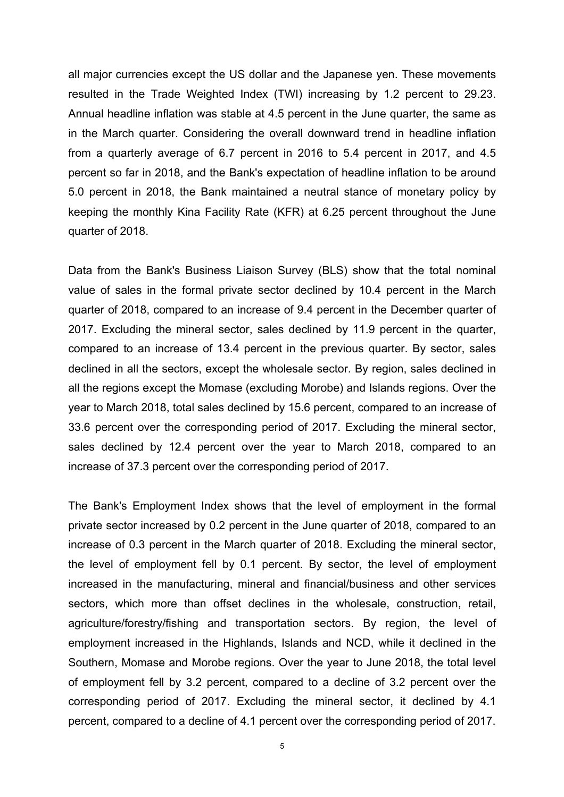all major currencies except the US dollar and the Japanese yen. These movements resulted in the Trade Weighted Index (TWI) increasing by 1.2 percent to 29.23. Annual headline inflation was stable at 4.5 percent in the June quarter, the same as in the March quarter. Considering the overall downward trend in headline inflation from a quarterly average of 6.7 percent in 2016 to 5.4 percent in 2017, and 4.5 percent so far in 2018, and the Bank's expectation of headline inflation to be around 5.0 percent in 2018, the Bank maintained a neutral stance of monetary policy by keeping the monthly Kina Facility Rate (KFR) at 6.25 percent throughout the June quarter of 2018.

Data from the Bank's Business Liaison Survey (BLS) show that the total nominal value of sales in the formal private sector declined by 10.4 percent in the March quarter of 2018, compared to an increase of 9.4 percent in the December quarter of 2017. Excluding the mineral sector, sales declined by 11.9 percent in the quarter, compared to an increase of 13.4 percent in the previous quarter. By sector, sales declined in all the sectors, except the wholesale sector. By region, sales declined in all the regions except the Momase (excluding Morobe) and Islands regions. Over the year to March 2018, total sales declined by 15.6 percent, compared to an increase of 33.6 percent over the corresponding period of 2017. Excluding the mineral sector, sales declined by 12.4 percent over the year to March 2018, compared to an increase of 37.3 percent over the corresponding period of 2017.

The Bank's Employment Index shows that the level of employment in the formal private sector increased by 0.2 percent in the June quarter of 2018, compared to an increase of 0.3 percent in the March quarter of 2018. Excluding the mineral sector, the level of employment fell by 0.1 percent. By sector, the level of employment increased in the manufacturing, mineral and financial/business and other services sectors, which more than offset declines in the wholesale, construction, retail, agriculture/forestry/fishing and transportation sectors. By region, the level of employment increased in the Highlands, Islands and NCD, while it declined in the Southern, Momase and Morobe regions. Over the year to June 2018, the total level of employment fell by 3.2 percent, compared to a decline of 3.2 percent over the corresponding period of 2017. Excluding the mineral sector, it declined by 4.1 percent, compared to a decline of 4.1 percent over the corresponding period of 2017.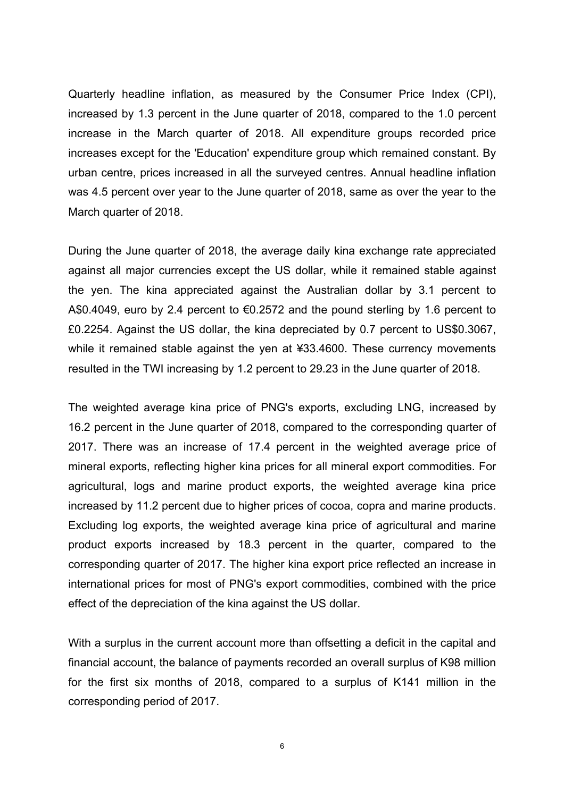Quarterly headline inflation, as measured by the Consumer Price Index (CPI), increased by 1.3 percent in the June quarter of 2018, compared to the 1.0 percent increase in the March quarter of 2018. All expenditure groups recorded price increases except for the 'Education' expenditure group which remained constant. By urban centre, prices increased in all the surveyed centres. Annual headline inflation was 4.5 percent over year to the June quarter of 2018, same as over the year to the March quarter of 2018.

During the June quarter of 2018, the average daily kina exchange rate appreciated against all major currencies except the US dollar, while it remained stable against the yen. The kina appreciated against the Australian dollar by 3.1 percent to A\$0.4049, euro by 2.4 percent to €0.2572 and the pound sterling by 1.6 percent to £0.2254. Against the US dollar, the kina depreciated by 0.7 percent to US\$0.3067, while it remained stable against the yen at ¥33.4600. These currency movements resulted in the TWI increasing by 1.2 percent to 29.23 in the June quarter of 2018.

The weighted average kina price of PNG's exports, excluding LNG, increased by 16.2 percent in the June quarter of 2018, compared to the corresponding quarter of 2017. There was an increase of 17.4 percent in the weighted average price of mineral exports, reflecting higher kina prices for all mineral export commodities. For agricultural, logs and marine product exports, the weighted average kina price increased by 11.2 percent due to higher prices of cocoa, copra and marine products. Excluding log exports, the weighted average kina price of agricultural and marine product exports increased by 18.3 percent in the quarter, compared to the corresponding quarter of 2017. The higher kina export price reflected an increase in international prices for most of PNG's export commodities, combined with the price effect of the depreciation of the kina against the US dollar.

With a surplus in the current account more than offsetting a deficit in the capital and financial account, the balance of payments recorded an overall surplus of K98 million for the first six months of 2018, compared to a surplus of K141 million in the corresponding period of 2017.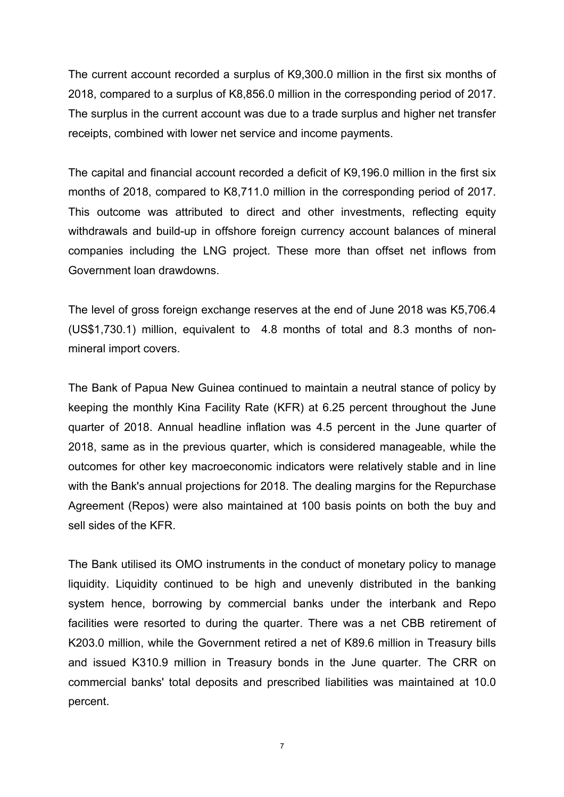The current account recorded a surplus of K9,300.0 million in the first six months of 2018, compared to a surplus of K8,856.0 million in the corresponding period of 2017. The surplus in the current account was due to a trade surplus and higher net transfer receipts, combined with lower net service and income payments.

The capital and financial account recorded a deficit of K9,196.0 million in the first six months of 2018, compared to K8,711.0 million in the corresponding period of 2017. This outcome was attributed to direct and other investments, reflecting equity withdrawals and build-up in offshore foreign currency account balances of mineral companies including the LNG project. These more than offset net inflows from Government loan drawdowns.

The level of gross foreign exchange reserves at the end of June 2018 was K5,706.4 (US\$1,730.1) million, equivalent to 4.8 months of total and 8.3 months of nonmineral import covers.

The Bank of Papua New Guinea continued to maintain a neutral stance of policy by keeping the monthly Kina Facility Rate (KFR) at 6.25 percent throughout the June quarter of 2018. Annual headline inflation was 4.5 percent in the June quarter of 2018, same as in the previous quarter, which is considered manageable, while the outcomes for other key macroeconomic indicators were relatively stable and in line with the Bank's annual projections for 2018. The dealing margins for the Repurchase Agreement (Repos) were also maintained at 100 basis points on both the buy and sell sides of the KFR.

The Bank utilised its OMO instruments in the conduct of monetary policy to manage liquidity. Liquidity continued to be high and unevenly distributed in the banking system hence, borrowing by commercial banks under the interbank and Repo facilities were resorted to during the quarter. There was a net CBB retirement of K203.0 million, while the Government retired a net of K89.6 million in Treasury bills and issued K310.9 million in Treasury bonds in the June quarter. The CRR on commercial banks' total deposits and prescribed liabilities was maintained at 10.0 percent.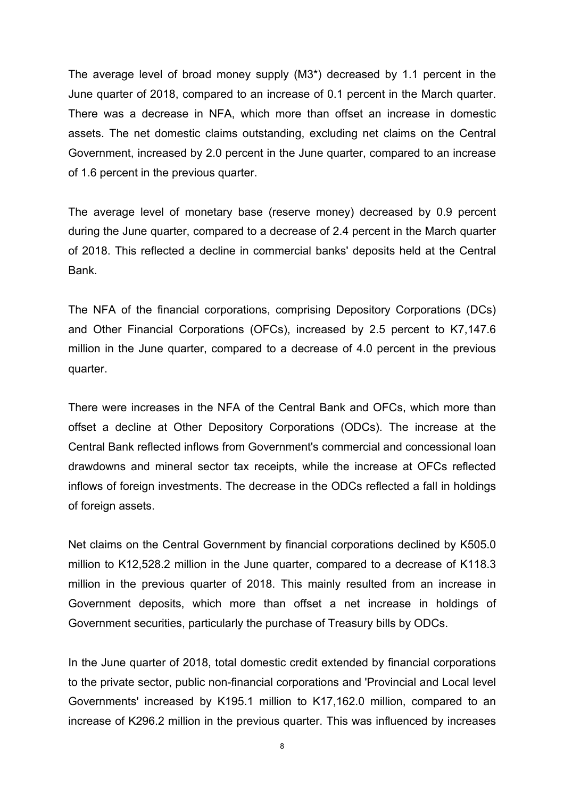The average level of broad money supply (M3\*) decreased by 1.1 percent in the June quarter of 2018, compared to an increase of 0.1 percent in the March quarter. There was a decrease in NFA, which more than offset an increase in domestic assets. The net domestic claims outstanding, excluding net claims on the Central Government, increased by 2.0 percent in the June quarter, compared to an increase of 1.6 percent in the previous quarter.

The average level of monetary base (reserve money) decreased by 0.9 percent during the June quarter, compared to a decrease of 2.4 percent in the March quarter of 2018. This reflected a decline in commercial banks' deposits held at the Central Bank.

The NFA of the financial corporations, comprising Depository Corporations (DCs) and Other Financial Corporations (OFCs), increased by 2.5 percent to K7,147.6 million in the June quarter, compared to a decrease of 4.0 percent in the previous quarter.

There were increases in the NFA of the Central Bank and OFCs, which more than offset a decline at Other Depository Corporations (ODCs). The increase at the Central Bank reflected inflows from Government's commercial and concessional loan drawdowns and mineral sector tax receipts, while the increase at OFCs reflected inflows of foreign investments. The decrease in the ODCs reflected a fall in holdings of foreign assets.

Net claims on the Central Government by financial corporations declined by K505.0 million to K12,528.2 million in the June quarter, compared to a decrease of K118.3 million in the previous quarter of 2018. This mainly resulted from an increase in Government deposits, which more than offset a net increase in holdings of Government securities, particularly the purchase of Treasury bills by ODCs.

In the June quarter of 2018, total domestic credit extended by financial corporations to the private sector, public non-financial corporations and 'Provincial and Local level Governments' increased by K195.1 million to K17,162.0 million, compared to an increase of K296.2 million in the previous quarter. This was influenced by increases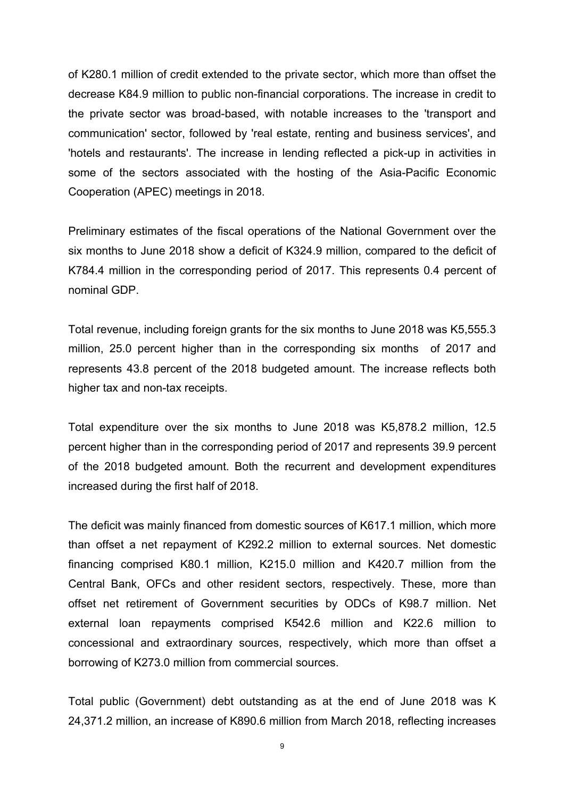of K280.1 million of credit extended to the private sector, which more than offset the decrease K84.9 million to public non-financial corporations. The increase in credit to the private sector was broad-based, with notable increases to the 'transport and communication' sector, followed by 'real estate, renting and business services', and 'hotels and restaurants'. The increase in lending reflected a pick-up in activities in some of the sectors associated with the hosting of the Asia-Pacific Economic Cooperation (APEC) meetings in 2018.

Preliminary estimates of the fiscal operations of the National Government over the six months to June 2018 show a deficit of K324.9 million, compared to the deficit of K784.4 million in the corresponding period of 2017. This represents 0.4 percent of nominal GDP.

Total revenue, including foreign grants for the six months to June 2018 was K5,555.3 million, 25.0 percent higher than in the corresponding six months of 2017 and represents 43.8 percent of the 2018 budgeted amount. The increase reflects both higher tax and non-tax receipts.

Total expenditure over the six months to June 2018 was K5,878.2 million, 12.5 percent higher than in the corresponding period of 2017 and represents 39.9 percent of the 2018 budgeted amount. Both the recurrent and development expenditures increased during the first half of 2018.

The deficit was mainly financed from domestic sources of K617.1 million, which more than offset a net repayment of K292.2 million to external sources. Net domestic financing comprised K80.1 million, K215.0 million and K420.7 million from the Central Bank, OFCs and other resident sectors, respectively. These, more than offset net retirement of Government securities by ODCs of K98.7 million. Net external loan repayments comprised K542.6 million and K22.6 million to concessional and extraordinary sources, respectively, which more than offset a borrowing of K273.0 million from commercial sources.

Total public (Government) debt outstanding as at the end of June 2018 was K 24,371.2 million, an increase of K890.6 million from March 2018, reflecting increases